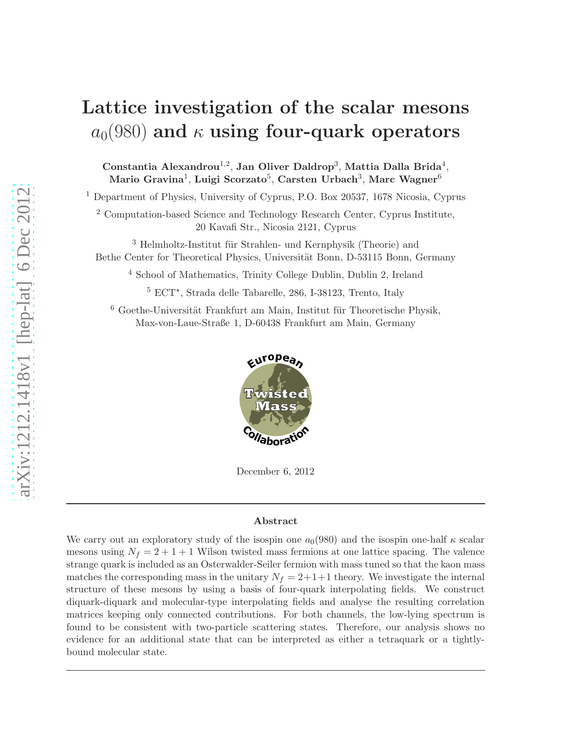# Lattice investigation of the scalar mesons  $a_0(980)$  and  $\kappa$  using four-quark operators

Constantia Alexandrou<sup>1,2</sup>, Jan Oliver Daldrop<sup>3</sup>, Mattia Dalla Brida<sup>4</sup>, Mario Gravina $^1$ , Luigi Scorzato $^5$ , Carsten Urbach $^3$ , Marc Wagner $^6$ 

<sup>1</sup> Department of Physics, University of Cyprus, P.O. Box 20537, 1678 Nicosia, Cyprus

<sup>2</sup> Computation-based Science and Technology Research Center, Cyprus Institute, 20 Kavafi Str., Nicosia 2121, Cyprus

<sup>3</sup> Helmholtz-Institut für Strahlen- und Kernphysik (Theorie) and Bethe Center for Theoretical Physics, Universität Bonn, D-53115 Bonn, Germany

<sup>4</sup> School of Mathematics, Trinity College Dublin, Dublin 2, Ireland

 $5$  ECT<sup>\*</sup>, Strada delle Tabarelle, 286, I-38123, Trento, Italy

 $6$  Goethe-Universität Frankfurt am Main, Institut für Theoretische Physik, Max-von-Laue-Straße 1, D-60438 Frankfurt am Main, Germany



December 6, 2012

#### Abstract

We carry out an exploratory study of the isospin one  $a_0(980)$  and the isospin one-half  $\kappa$  scalar mesons using  $N_f = 2 + 1 + 1$  Wilson twisted mass fermions at one lattice spacing. The valence strange quark is included as an Osterwalder-Seiler fermion with mass tuned so that the kaon mass matches the corresponding mass in the unitary  $N_f = 2+1+1$  theory. We investigate the internal structure of these mesons by using a basis of four-quark interpolating fields. We construct diquark-diquark and molecular-type interpolating fields and analyse the resulting correlation matrices keeping only connected contributions. For both channels, the low-lying spectrum is found to be consistent with two-particle scattering states. Therefore, our analysis shows no evidence for an additional state that can be interpreted as either a tetraquark or a tightlybound molecular state.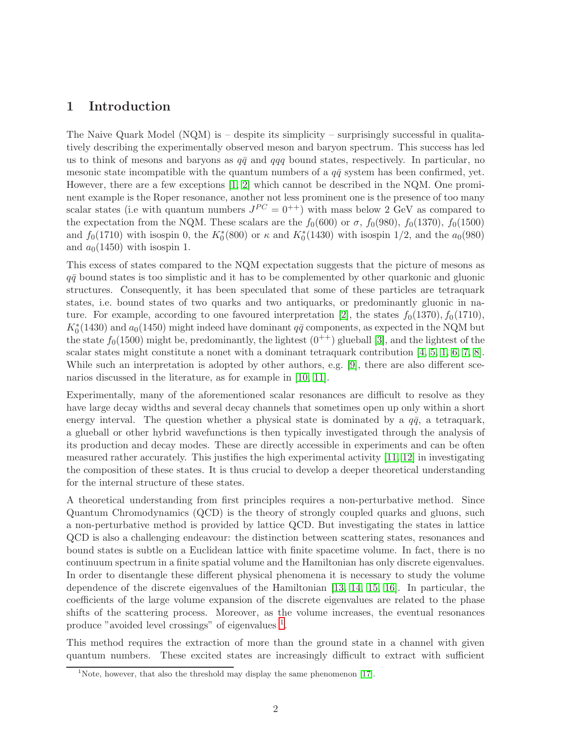## 1 Introduction

The Naive Quark Model (NQM) is – despite its simplicity – surprisingly successful in qualitatively describing the experimentally observed meson and baryon spectrum. This success has led us to think of mesons and baryons as  $q\bar{q}$  and  $qqq$  bound states, respectively. In particular, no mesonic state incompatible with the quantum numbers of a  $q\bar{q}$  system has been confirmed, yet. However, there are a few exceptions [\[1,](#page-19-0) [2\]](#page-19-1) which cannot be described in the NQM. One prominent example is the Roper resonance, another not less prominent one is the presence of too many scalar states (i.e with quantum numbers  $J^{PC} = 0^{++}$ ) with mass below 2 GeV as compared to the expectation from the NQM. These scalars are the  $f_0(600)$  or  $\sigma$ ,  $f_0(980)$ ,  $f_0(1370)$ ,  $f_0(1500)$ and  $f_0(1710)$  with isospin 0, the  $K_0^*(800)$  or  $\kappa$  and  $K_0^*(1430)$  with isospin 1/2, and the  $a_0(980)$ and  $a_0(1450)$  with isospin 1.

This excess of states compared to the NQM expectation suggests that the picture of mesons as  $q\bar{q}$  bound states is too simplistic and it has to be complemented by other quarkonic and gluonic structures. Consequently, it has been speculated that some of these particles are tetraquark states, i.e. bound states of two quarks and two antiquarks, or predominantly gluonic in na-ture. For example, according to one favoured interpretation [\[2\]](#page-19-1), the states  $f_0(1370)$ ,  $f_0(1710)$ ,  $K_0^*(1430)$  and  $a_0(1450)$  might indeed have dominant  $q\bar{q}$  components, as expected in the NQM but the state  $f_0(1500)$  might be, predominantly, the lightest  $(0^{++})$  glueball [\[3\]](#page-19-2), and the lightest of the scalar states might constitute a nonet with a dominant tetraquark contribution [\[4,](#page-19-3) [5,](#page-19-4) [1,](#page-19-0) [6,](#page-19-5) [7,](#page-19-6) [8\]](#page-19-7). While such an interpretation is adopted by other authors, e.g. [\[9\]](#page-19-8), there are also different scenarios discussed in the literature, as for example in [\[10,](#page-19-9) [11\]](#page-20-0).

Experimentally, many of the aforementioned scalar resonances are difficult to resolve as they have large decay widths and several decay channels that sometimes open up only within a short energy interval. The question whether a physical state is dominated by a  $q\bar{q}$ , a tetraquark, a glueball or other hybrid wavefunctions is then typically investigated through the analysis of its production and decay modes. These are directly accessible in experiments and can be often measured rather accurately. This justifies the high experimental activity [\[11,](#page-20-0) [12\]](#page-20-1) in investigating the composition of these states. It is thus crucial to develop a deeper theoretical understanding for the internal structure of these states.

A theoretical understanding from first principles requires a non-perturbative method. Since Quantum Chromodynamics (QCD) is the theory of strongly coupled quarks and gluons, such a non-perturbative method is provided by lattice QCD. But investigating the states in lattice QCD is also a challenging endeavour: the distinction between scattering states, resonances and bound states is subtle on a Euclidean lattice with finite spacetime volume. In fact, there is no continuum spectrum in a finite spatial volume and the Hamiltonian has only discrete eigenvalues. In order to disentangle these different physical phenomena it is necessary to study the volume dependence of the discrete eigenvalues of the Hamiltonian [\[13,](#page-20-2) [14,](#page-20-3) [15,](#page-20-4) [16\]](#page-20-5). In particular, the coefficients of the large volume expansion of the discrete eigenvalues are related to the phase shifts of the scattering process. Moreover, as the volume increases, the eventual resonances produce "avoided level crossings" of eigenvalues <sup>[1](#page-1-0)</sup>.

This method requires the extraction of more than the ground state in a channel with given quantum numbers. These excited states are increasingly difficult to extract with sufficient

<span id="page-1-0"></span><sup>&</sup>lt;sup>1</sup>Note, however, that also the threshold may display the same phenomenon [\[17\]](#page-20-6).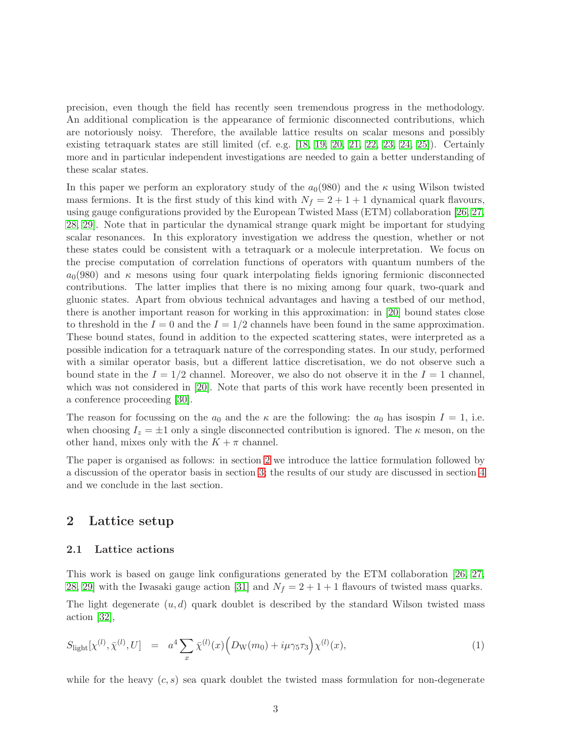precision, even though the field has recently seen tremendous progress in the methodology. An additional complication is the appearance of fermionic disconnected contributions, which are notoriously noisy. Therefore, the available lattice results on scalar mesons and possibly existing tetraquark states are still limited (cf. e.g. [\[18,](#page-20-7) [19,](#page-20-8) [20,](#page-20-9) [21,](#page-20-10) [22,](#page-20-11) [23,](#page-20-12) [24,](#page-20-13) [25\]](#page-20-14)). Certainly more and in particular independent investigations are needed to gain a better understanding of these scalar states.

In this paper we perform an exploratory study of the  $a<sub>0</sub>(980)$  and the  $\kappa$  using Wilson twisted mass fermions. It is the first study of this kind with  $N_f = 2 + 1 + 1$  dynamical quark flavours, using gauge configurations provided by the European Twisted Mass (ETM) collaboration [\[26,](#page-20-15) [27,](#page-20-16) [28,](#page-21-0) [29\]](#page-21-1). Note that in particular the dynamical strange quark might be important for studying scalar resonances. In this exploratory investigation we address the question, whether or not these states could be consistent with a tetraquark or a molecule interpretation. We focus on the precise computation of correlation functions of operators with quantum numbers of the  $a_0(980)$  and  $\kappa$  mesons using four quark interpolating fields ignoring fermionic disconnected contributions. The latter implies that there is no mixing among four quark, two-quark and gluonic states. Apart from obvious technical advantages and having a testbed of our method, there is another important reason for working in this approximation: in [\[20\]](#page-20-9) bound states close to threshold in the  $I = 0$  and the  $I = 1/2$  channels have been found in the same approximation. These bound states, found in addition to the expected scattering states, were interpreted as a possible indication for a tetraquark nature of the corresponding states. In our study, performed with a similar operator basis, but a different lattice discretisation, we do not observe such a bound state in the  $I = 1/2$  channel. Moreover, we also do not observe it in the  $I = 1$  channel, which was not considered in [\[20\]](#page-20-9). Note that parts of this work have recently been presented in a conference proceeding [\[30\]](#page-21-2).

The reason for focussing on the  $a_0$  and the  $\kappa$  are the following: the  $a_0$  has isospin  $I = 1$ , i.e. when choosing  $I_z = \pm 1$  only a single disconnected contribution is ignored. The  $\kappa$  meson, on the other hand, mixes only with the  $K + \pi$  channel.

The paper is organised as follows: in section [2](#page-2-0) we introduce the lattice formulation followed by a discussion of the operator basis in section [3;](#page-5-0) the results of our study are discussed in section [4](#page-12-0) and we conclude in the last section.

## <span id="page-2-2"></span><span id="page-2-0"></span>2 Lattice setup

#### 2.1 Lattice actions

This work is based on gauge link configurations generated by the ETM collaboration [\[26,](#page-20-15) [27,](#page-20-16) [28,](#page-21-0) [29\]](#page-21-1) with the Iwasaki gauge action [\[31\]](#page-21-3) and  $N_f = 2 + 1 + 1$  flavours of twisted mass quarks.

The light degenerate  $(u, d)$  quark doublet is described by the standard Wilson twisted mass action [\[32\]](#page-21-4),

<span id="page-2-1"></span>
$$
S_{\text{light}}[\chi^{(l)}, \bar{\chi}^{(l)}, U] = a^4 \sum_x \bar{\chi}^{(l)}(x) \Big( D_{\text{W}}(m_0) + i\mu \gamma_5 \tau_3 \Big) \chi^{(l)}(x), \tag{1}
$$

while for the heavy  $(c, s)$  sea quark doublet the twisted mass formulation for non-degenerate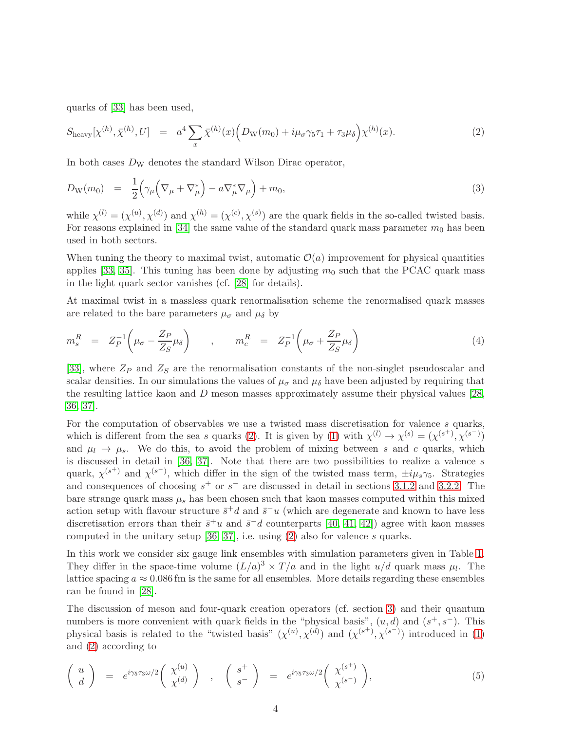quarks of [\[33\]](#page-21-5) has been used,

<span id="page-3-0"></span>
$$
S_{\text{heavy}}[\chi^{(h)}, \bar{\chi}^{(h)}, U] = a^4 \sum_{x} \bar{\chi}^{(h)}(x) \Big( D_{\text{W}}(m_0) + i\mu_{\sigma} \gamma_5 \tau_1 + \tau_3 \mu_{\delta} \Big) \chi^{(h)}(x). \tag{2}
$$

In both cases  $D_W$  denotes the standard Wilson Dirac operator,

$$
D_{\mathcal{W}}(m_0) = \frac{1}{2} \Big( \gamma_\mu \Big( \nabla_\mu + \nabla_\mu^* \Big) - a \nabla_\mu^* \nabla_\mu \Big) + m_0, \tag{3}
$$

while  $\chi^{(l)} = (\chi^{(u)}, \chi^{(d)})$  and  $\chi^{(h)} = (\chi^{(c)}, \chi^{(s)})$  are the quark fields in the so-called twisted basis. For reasons explained in [\[34\]](#page-21-6) the same value of the standard quark mass parameter  $m_0$  has been used in both sectors.

When tuning the theory to maximal twist, automatic  $\mathcal{O}(a)$  improvement for physical quantities applies [\[33,](#page-21-5) [35\]](#page-21-7). This tuning has been done by adjusting  $m_0$  such that the PCAC quark mass in the light quark sector vanishes (cf. [\[28\]](#page-21-0) for details).

At maximal twist in a massless quark renormalisation scheme the renormalised quark masses are related to the bare parameters  $\mu_{\sigma}$  and  $\mu_{\delta}$  by

$$
m_s^R = Z_P^{-1} \left( \mu_\sigma - \frac{Z_P}{Z_S} \mu_\delta \right) , \qquad m_c^R = Z_P^{-1} \left( \mu_\sigma + \frac{Z_P}{Z_S} \mu_\delta \right)
$$
 (4)

[\[33\]](#page-21-5), where  $Z_P$  and  $Z_S$  are the renormalisation constants of the non-singlet pseudoscalar and scalar densities. In our simulations the values of  $\mu_{\sigma}$  and  $\mu_{\delta}$  have been adjusted by requiring that the resulting lattice kaon and D meson masses approximately assume their physical values [\[28,](#page-21-0) [36,](#page-21-8) [37\]](#page-21-9).

For the computation of observables we use a twisted mass discretisation for valence  $s$  quarks, which is different from the sea s quarks [\(2\)](#page-3-0). It is given by [\(1\)](#page-2-1) with  $\chi^{(l)} \to \chi^{(s)} = (\chi^{(s^+)} , \chi^{(s^-)} )$ and  $\mu_l \to \mu_s$ . We do this, to avoid the problem of mixing between s and c quarks, which is discussed in detail in  $[36, 37]$  $[36, 37]$ . Note that there are two possibilities to realize a valence s quark,  $\chi^{(s^+)}$  and  $\chi^{(s^-)}$ , which differ in the sign of the twisted mass term,  $\pm i\mu_s\gamma_5$ . Strategies and consequences of choosing  $s^+$  or  $s^-$  are discussed in detail in sections [3.1.2](#page-8-0) and [3.2.2.](#page-10-0) The bare strange quark mass  $\mu_s$  has been chosen such that kaon masses computed within this mixed action setup with flavour structure  $\bar{s}^+d$  and  $\bar{s}^-u$  (which are degenerate and known to have less discretisation errors than their  $\bar{s}^+u$  and  $\bar{s}^-d$  counterparts [\[40,](#page-21-10) [41,](#page-21-11) [42\]](#page-21-12)) agree with kaon masses computed in the unitary setup [\[36,](#page-21-8) [37\]](#page-21-9), i.e. using [\(2\)](#page-3-0) also for valence s quarks.

In this work we consider six gauge link ensembles with simulation parameters given in Table [1.](#page-4-0) They differ in the space-time volume  $(L/a)^3 \times T/a$  and in the light  $u/d$  quark mass  $\mu_l$ . The lattice spacing  $a \approx 0.086$  fm is the same for all ensembles. More details regarding these ensembles can be found in [\[28\]](#page-21-0).

The discussion of meson and four-quark creation operators (cf. section [3\)](#page-5-0) and their quantum numbers is more convenient with quark fields in the "physical basis",  $(u, d)$  and  $(s^+, s^-)$ . This physical basis is related to the "twisted basis"  $(\chi^{(u)}, \chi^{(d)})$  and  $(\chi^{(s^+)}, \chi^{(s^-)})$  introduced in [\(1\)](#page-2-1) and [\(2\)](#page-3-0) according to

$$
\left(\begin{array}{c}\nu\\d\end{array}\right) = e^{i\gamma_5\tau_3\omega/2}\left(\begin{array}{c}\chi^{(u)}\\ \chi^{(d)}\end{array}\right) , \quad \left(\begin{array}{c}\ns^{+}\\s^{-}\end{array}\right) = e^{i\gamma_5\tau_3\omega/2}\left(\begin{array}{c}\chi^{(s^{+})}\\ \chi^{(s^{-})}\end{array}\right),\tag{5}
$$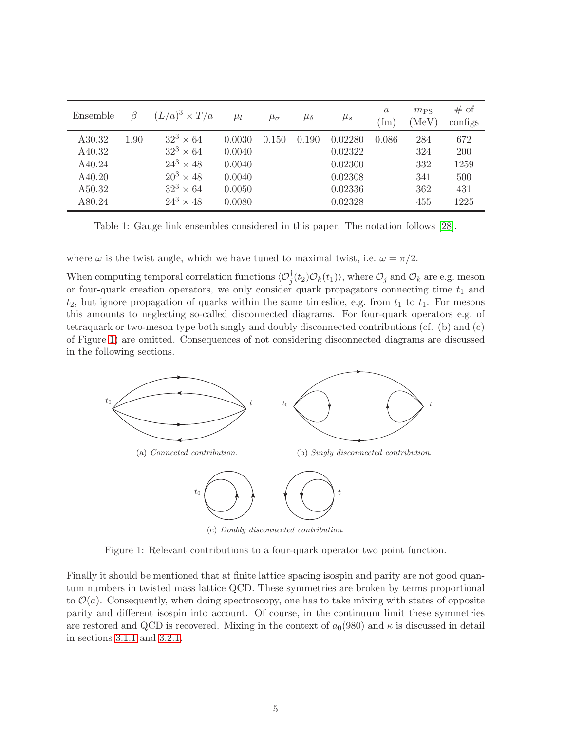<span id="page-4-0"></span>

| Ensemble |      | $(L/a)^3 \times T/a$ | $\mu_l$ | $\mu_{\sigma}$ | $\mu_{\delta}$ | $\mu_s$ | $\boldsymbol{a}$<br>(f <sub>m</sub> ) | $m_{PS}$<br>(MeV) | # of<br>configs |
|----------|------|----------------------|---------|----------------|----------------|---------|---------------------------------------|-------------------|-----------------|
| A30.32   | 1.90 | $32^3 \times 64$     | 0.0030  | 0.150          | 0.190          | 0.02280 | 0.086                                 | 284               | 672             |
| A40.32   |      | $32^3 \times 64$     | 0.0040  |                |                | 0.02322 |                                       | 324               | <b>200</b>      |
| A40.24   |      | $24^3 \times 48$     | 0.0040  |                |                | 0.02300 |                                       | 332               | 1259            |
| A40.20   |      | $20^3 \times 48$     | 0.0040  |                |                | 0.02308 |                                       | 341               | 500             |
| A50.32   |      | $32^3 \times 64$     | 0.0050  |                |                | 0.02336 |                                       | 362               | 431             |
| A80.24   |      | $24^3 \times 48$     | 0.0080  |                |                | 0.02328 |                                       | 455               | 1225            |

Table 1: Gauge link ensembles considered in this paper. The notation follows [\[28\]](#page-21-0).

where  $\omega$  is the twist angle, which we have tuned to maximal twist, i.e.  $\omega = \pi/2$ .

When computing temporal correlation functions  $\langle \mathcal{O}_j^{\dagger}(t_2) \mathcal{O}_k(t_1) \rangle$ , where  $\mathcal{O}_j$  and  $\mathcal{O}_k$  are e.g. meson or four-quark creation operators, we only consider quark propagators connecting time  $t_1$  and  $t_2$ , but ignore propagation of quarks within the same timeslice, e.g. from  $t_1$  to  $t_1$ . For mesons this amounts to neglecting so-called disconnected diagrams. For four-quark operators e.g. of tetraquark or two-meson type both singly and doubly disconnected contributions (cf. (b) and (c) of Figure [1\)](#page-4-1) are omitted. Consequences of not considering disconnected diagrams are discussed in the following sections.

<span id="page-4-1"></span>

(c) Doubly disconnected contribution.

Figure 1: Relevant contributions to a four-quark operator two point function.

Finally it should be mentioned that at finite lattice spacing isospin and parity are not good quantum numbers in twisted mass lattice QCD. These symmetries are broken by terms proportional to  $\mathcal{O}(a)$ . Consequently, when doing spectroscopy, one has to take mixing with states of opposite parity and different isospin into account. Of course, in the continuum limit these symmetries are restored and QCD is recovered. Mixing in the context of  $a_0(980)$  and  $\kappa$  is discussed in detail in sections [3.1.1](#page-8-1) and [3.2.1.](#page-10-1)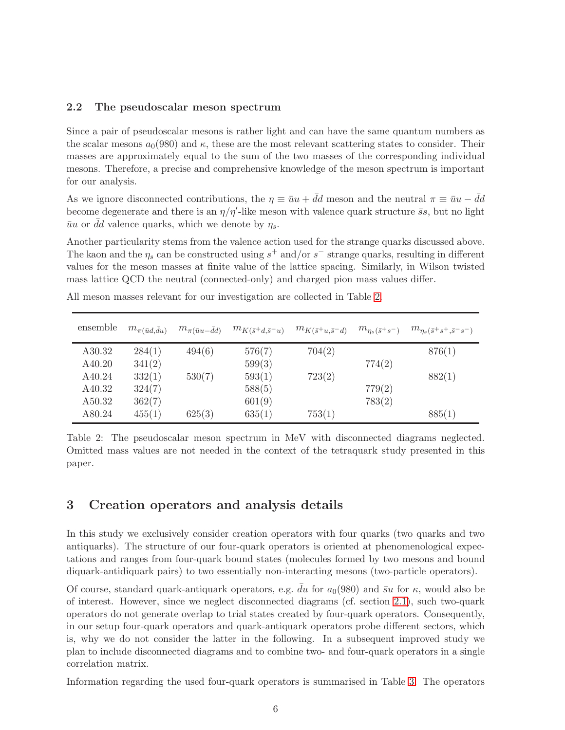#### <span id="page-5-2"></span>2.2 The pseudoscalar meson spectrum

Since a pair of pseudoscalar mesons is rather light and can have the same quantum numbers as the scalar mesons  $a_0(980)$  and  $\kappa$ , these are the most relevant scattering states to consider. Their masses are approximately equal to the sum of the two masses of the corresponding individual mesons. Therefore, a precise and comprehensive knowledge of the meson spectrum is important for our analysis.

As we ignore disconnected contributions, the  $\eta \equiv \bar{u}u + \bar{d}d$  meson and the neutral  $\pi \equiv \bar{u}u - \bar{d}d$ become degenerate and there is an  $\eta/\eta'$ -like meson with valence quark structure  $\bar{s}s$ , but no light  $\bar{u}u$  or dd valence quarks, which we denote by  $\eta_s$ .

Another particularity stems from the valence action used for the strange quarks discussed above. The kaon and the  $\eta_s$  can be constructed using  $s^+$  and/or  $s^-$  strange quarks, resulting in different values for the meson masses at finite value of the lattice spacing. Similarly, in Wilson twisted mass lattice QCD the neutral (connected-only) and charged pion mass values differ.

| ensemble | $m_{\pi(\bar{u}d,\bar{d}u)}$ | $m_{\pi(\bar{u}u-\bar{d}d)}$ | $m_{K(\bar{s}^+d,\bar{s}^-u)}$ | $m_{K(\bar{s}^+u,\bar{s}^-d)}$ | $m_{\eta_s(\bar{s}^+s^-)}$ | $m_{\eta_s(\bar{s}^+s^+,\bar{s}^-s^-)}$ |
|----------|------------------------------|------------------------------|--------------------------------|--------------------------------|----------------------------|-----------------------------------------|
| A30.32   | 284(1)                       | 494(6)                       | 576(7)                         | 704(2)                         |                            | 876(1)                                  |
| A40.20   | 341(2)                       |                              | 599(3)                         |                                | 774(2)                     |                                         |
| A40.24   | 332(1)                       | 530(7)                       | 593(1)                         | 723(2)                         |                            | 882(1)                                  |
| A40.32   | 324(7)                       |                              | 588(5)                         |                                | 779(2)                     |                                         |
| A50.32   | 362(7)                       |                              | 601(9)                         |                                | 783(2)                     |                                         |
| A80.24   | 455(1)                       | 625(3)                       | 635(1)                         | 753(1)                         |                            | 885(1)                                  |

<span id="page-5-1"></span>All meson masses relevant for our investigation are collected in Table [2.](#page-5-1)

Table 2: The pseudoscalar meson spectrum in MeV with disconnected diagrams neglected. Omitted mass values are not needed in the context of the tetraquark study presented in this paper.

## <span id="page-5-0"></span>3 Creation operators and analysis details

In this study we exclusively consider creation operators with four quarks (two quarks and two antiquarks). The structure of our four-quark operators is oriented at phenomenological expectations and ranges from four-quark bound states (molecules formed by two mesons and bound diquark-antidiquark pairs) to two essentially non-interacting mesons (two-particle operators).

Of course, standard quark-antiquark operators, e.g.  $\bar{d}u$  for  $a_0(980)$  and  $\bar{s}u$  for  $\kappa$ , would also be of interest. However, since we neglect disconnected diagrams (cf. section [2.1\)](#page-2-2), such two-quark operators do not generate overlap to trial states created by four-quark operators. Consequently, in our setup four-quark operators and quark-antiquark operators probe different sectors, which is, why we do not consider the latter in the following. In a subsequent improved study we plan to include disconnected diagrams and to combine two- and four-quark operators in a single correlation matrix.

Information regarding the used four-quark operators is summarised in Table [3.](#page-6-0) The operators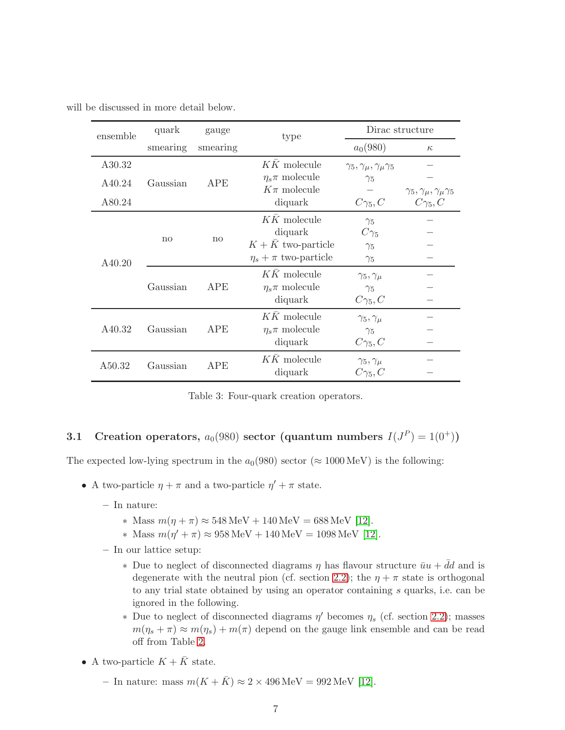<span id="page-6-0"></span>

|  |  | will be discussed in more detail below. |  |  |  |  |
|--|--|-----------------------------------------|--|--|--|--|
|--|--|-----------------------------------------|--|--|--|--|

| ensemble | quark    | gauge      | type                        | Dirac structure                             |                                                                   |  |
|----------|----------|------------|-----------------------------|---------------------------------------------|-------------------------------------------------------------------|--|
|          | smearing | smearing   |                             | $a_0(980)$                                  | $\kappa$                                                          |  |
| A30.32   |          |            | $KK$ molecule               | $\gamma_5, \gamma_\mu, \gamma_\mu \gamma_5$ |                                                                   |  |
| A40.24   | Gaussian | <b>APE</b> | $\eta_s \pi$ molecule       | $\gamma_5$                                  |                                                                   |  |
| A80.24   |          |            | $K\pi$ molecule<br>diquark  | $C\gamma_5, C$                              | $\gamma_5, \gamma_\mu, \gamma_\mu \gamma_5$<br>$C_{\gamma_5}$ , C |  |
|          | no       | no         | $K\bar{K}$ molecule         | $\gamma_5$                                  |                                                                   |  |
|          |          |            | diquark                     | $C\gamma_5$                                 |                                                                   |  |
|          |          |            | $K + \bar{K}$ two-particle  | $\gamma_{5}$                                |                                                                   |  |
| A40.20   |          |            | $\eta_s + \pi$ two-particle | $\gamma_5$                                  |                                                                   |  |
|          | Gaussian | <b>APE</b> | $KK$ molecule               | $\gamma_5, \gamma_\mu$                      |                                                                   |  |
|          |          |            | $\eta_s \pi$ molecule       | $\gamma_5$                                  |                                                                   |  |
|          |          |            | diquark                     | $C_{\gamma_5,C}$                            |                                                                   |  |
|          |          |            | $K\bar{K}$ molecule         | $\gamma_5, \gamma_\mu$                      |                                                                   |  |
| A40.32   | Gaussian | APE        | $\eta_s \pi$ molecule       | $\gamma_5$                                  |                                                                   |  |
|          |          |            | diquark                     | $C_{\gamma_5}$ , $C$                        |                                                                   |  |
| A50.32   | Gaussian | APE        | $KK$ molecule               | $\gamma_5, \gamma_\mu$                      |                                                                   |  |
|          |          |            | diquark                     | $C\gamma_5,C$                               |                                                                   |  |

Table 3: Four-quark creation operators.

# <span id="page-6-1"></span>3.1 Creation operators,  $a_0(980)$  sector (quantum numbers  $I(J^P) = 1(0^+))$

The expected low-lying spectrum in the  $a_0(980)$  sector ( $\approx 1000 \,\text{MeV}$ ) is the following:

- A two-particle  $\eta + \pi$  and a two-particle  $\eta' + \pi$  state.
	- In nature:
		- ∗ Mass m(η + π) ≈ 548 MeV + 140 MeV = 688 MeV [\[12\]](#page-20-1).
		- ∗ Mass m(η ′ + π) ≈ 958 MeV + 140 MeV = 1098 MeV [\[12\]](#page-20-1).
	- In our lattice setup:
		- $∗$  Due to neglect of disconnected diagrams η has flavour structure  $\bar{u}u + \bar{d}d$  and is degenerate with the neutral pion (cf. section [2.2\)](#page-5-2); the  $\eta + \pi$  state is orthogonal to any trial state obtained by using an operator containing s quarks, i.e. can be ignored in the following.
		- \* Due to neglect of disconnected diagrams  $\eta'$  becomes  $\eta_s$  (cf. section [2.2\)](#page-5-2); masses  $m(\eta_s + \pi) \approx m(\eta_s) + m(\pi)$  depend on the gauge link ensemble and can be read off from Table [2.](#page-5-1)
- A two-particle  $K + \bar{K}$  state.
	- In nature: mass  $m(K + \overline{K}) \approx 2 \times 496 \,\text{MeV} = 992 \,\text{MeV}$  [\[12\]](#page-20-1).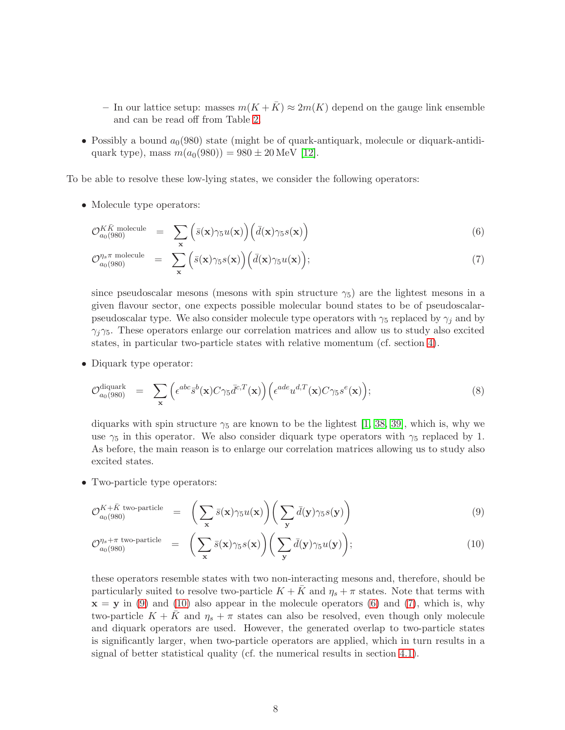- In our lattice setup: masses  $m(K+\bar{K}) \approx 2m(K)$  depend on the gauge link ensemble and can be read off from Table [2.](#page-5-1)
- Possibly a bound  $a_0(980)$  state (might be of quark-antiquark, molecule or diquark-antidiquark type), mass  $m(a_0(980)) = 980 \pm 20$  MeV [\[12\]](#page-20-1).

To be able to resolve these low-lying states, we consider the following operators:

• Molecule type operators:

<span id="page-7-1"></span>
$$
\mathcal{O}_{a_0(980)}^{K\bar{K}\text{ molecule}} = \sum_{\mathbf{x}} \left( \bar{s}(\mathbf{x}) \gamma_5 u(\mathbf{x}) \right) \left( \bar{d}(\mathbf{x}) \gamma_5 s(\mathbf{x}) \right) \tag{6}
$$

$$
\mathcal{O}_{a_0(980)}^{\eta_s \pi \text{ molecule}} = \sum_{\mathbf{x}} \left( \bar{s}(\mathbf{x}) \gamma_5 s(\mathbf{x}) \right) \left( \bar{d}(\mathbf{x}) \gamma_5 u(\mathbf{x}) \right); \tag{7}
$$

since pseudoscalar mesons (mesons with spin structure  $\gamma_5$ ) are the lightest mesons in a given flavour sector, one expects possible molecular bound states to be of pseudoscalarpseudoscalar type. We also consider molecule type operators with  $\gamma_5$  replaced by  $\gamma_i$  and by  $\gamma_i \gamma_5$ . These operators enlarge our correlation matrices and allow us to study also excited states, in particular two-particle states with relative momentum (cf. section [4\)](#page-12-0).

• Diquark type operator:

<span id="page-7-2"></span>
$$
\mathcal{O}_{a_0(980)}^{\text{diquark}} = \sum_{\mathbf{x}} \left( \epsilon^{abc} \bar{s}^b(\mathbf{x}) C \gamma_5 \bar{d}^{c,T}(\mathbf{x}) \right) \left( \epsilon^{ade} u^{d,T}(\mathbf{x}) C \gamma_5 s^e(\mathbf{x}) \right); \tag{8}
$$

diquarks with spin structure  $\gamma_5$  are known to be the lightest [\[1,](#page-19-0) [38,](#page-21-13) [39\]](#page-21-14), which is, why we use  $\gamma_5$  in this operator. We also consider diquark type operators with  $\gamma_5$  replaced by 1. As before, the main reason is to enlarge our correlation matrices allowing us to study also excited states.

• Two-particle type operators:

<span id="page-7-0"></span>
$$
\mathcal{O}_{a_0(980)}^{K+\bar{K} \text{ two-particle}} = \left( \sum_{\mathbf{x}} \bar{s}(\mathbf{x}) \gamma_5 u(\mathbf{x}) \right) \left( \sum_{\mathbf{y}} \bar{d}(\mathbf{y}) \gamma_5 s(\mathbf{y}) \right)
$$
(9)

$$
\mathcal{O}_{a_0(980)}^{\eta_s + \pi \text{ two-particle}} = \left( \sum_{\mathbf{x}} \bar{s}(\mathbf{x}) \gamma_5 s(\mathbf{x}) \right) \left( \sum_{\mathbf{y}} \bar{d}(\mathbf{y}) \gamma_5 u(\mathbf{y}) \right); \tag{10}
$$

these operators resemble states with two non-interacting mesons and, therefore, should be particularly suited to resolve two-particle  $K + K$  and  $\eta_s + \pi$  states. Note that terms with  $x = y$  in [\(9\)](#page-7-0) and [\(10\)](#page-7-0) also appear in the molecule operators [\(6\)](#page-7-1) and [\(7\)](#page-7-1), which is, why two-particle  $K + K$  and  $\eta_s + \pi$  states can also be resolved, even though only molecule and diquark operators are used. However, the generated overlap to two-particle states is significantly larger, when two-particle operators are applied, which in turn results in a signal of better statistical quality (cf. the numerical results in section [4.1\)](#page-12-1).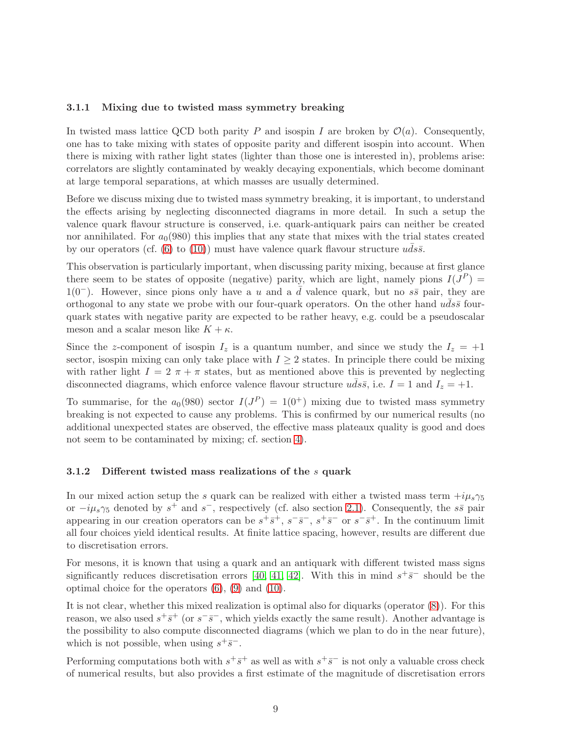#### <span id="page-8-1"></span>3.1.1 Mixing due to twisted mass symmetry breaking

In twisted mass lattice QCD both parity P and isospin I are broken by  $\mathcal{O}(a)$ . Consequently, one has to take mixing with states of opposite parity and different isospin into account. When there is mixing with rather light states (lighter than those one is interested in), problems arise: correlators are slightly contaminated by weakly decaying exponentials, which become dominant at large temporal separations, at which masses are usually determined.

Before we discuss mixing due to twisted mass symmetry breaking, it is important, to understand the effects arising by neglecting disconnected diagrams in more detail. In such a setup the valence quark flavour structure is conserved, i.e. quark-antiquark pairs can neither be created nor annihilated. For  $a_0(980)$  this implies that any state that mixes with the trial states created by our operators (cf. [\(6\)](#page-7-1) to [\(10\)](#page-7-0)) must have valence quark flavour structure  $uds\bar{s}$ .

This observation is particularly important, when discussing parity mixing, because at first glance there seem to be states of opposite (negative) parity, which are light, namely pions  $I(J^P)$  = 1(0<sup>-</sup>). However, since pions only have a u and a d valence quark, but no  $s\bar{s}$  pair, they are orthogonal to any state we probe with our four-quark operators. On the other hand  $uds\bar{s}$  fourquark states with negative parity are expected to be rather heavy, e.g. could be a pseudoscalar meson and a scalar meson like  $K + \kappa$ .

Since the z-component of isospin  $I_z$  is a quantum number, and since we study the  $I_z = +1$ sector, isospin mixing can only take place with  $I \geq 2$  states. In principle there could be mixing with rather light  $I = 2 \pi + \pi$  states, but as mentioned above this is prevented by neglecting disconnected diagrams, which enforce valence flavour structure  $uds\bar{s}$ , i.e.  $I = 1$  and  $I_z = +1$ .

To summarise, for the  $a_0(980)$  sector  $I(J^P) = 1(0^+)$  mixing due to twisted mass symmetry breaking is not expected to cause any problems. This is confirmed by our numerical results (no additional unexpected states are observed, the effective mass plateaux quality is good and does not seem to be contaminated by mixing; cf. section [4\)](#page-12-0).

#### <span id="page-8-0"></span>3.1.2 Different twisted mass realizations of the s quark

In our mixed action setup the s quark can be realized with either a twisted mass term  $+i\mu_s\gamma_5$ or  $-i\mu_s\gamma_5$  denoted by  $s^+$  and  $s^-$ , respectively (cf. also section [2.1\)](#page-2-2). Consequently, the  $s\bar{s}$  pair appearing in our creation operators can be  $s^+\overline{s}^+, s^-\overline{s}^-, s^+\overline{s}^-$  or  $s^-\overline{s}^+$ . In the continuum limit all four choices yield identical results. At finite lattice spacing, however, results are different due to discretisation errors.

For mesons, it is known that using a quark and an antiquark with different twisted mass signs significantly reduces discretisation errors [\[40,](#page-21-10) [41,](#page-21-11) [42\]](#page-21-12). With this in mind  $s^{+}\bar{s}^{-}$  should be the optimal choice for the operators  $(6)$ ,  $(9)$  and  $(10)$ .

It is not clear, whether this mixed realization is optimal also for diquarks (operator [\(8\)](#page-7-2)). For this reason, we also used  $s^+\overline{s}^+$  (or  $s^-\overline{s}^-$ , which yields exactly the same result). Another advantage is the possibility to also compute disconnected diagrams (which we plan to do in the near future), which is not possible, when using  $s^+\overline{s}^-$ .

Performing computations both with  $s^+\overline{s}^+$  as well as with  $s^+\overline{s}^-$  is not only a valuable cross check of numerical results, but also provides a first estimate of the magnitude of discretisation errors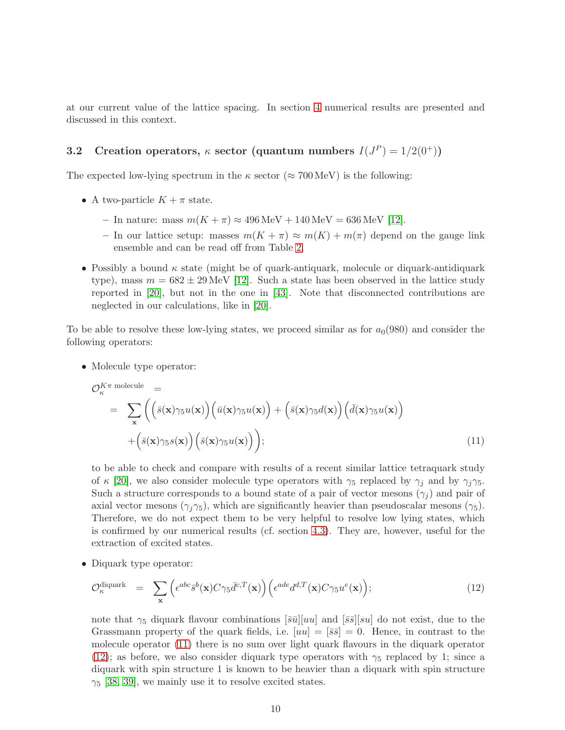at our current value of the lattice spacing. In section [4](#page-12-0) numerical results are presented and discussed in this context.

## <span id="page-9-2"></span>3.2 Creation operators,  $\kappa$  sector (quantum numbers  $I(J^P) = 1/2(0^+))$

The expected low-lying spectrum in the  $\kappa$  sector ( $\approx 700 \,\text{MeV}$ ) is the following:

- A two-particle  $K + \pi$  state.
	- In nature: mass  $m(K + \pi) \approx 496 \,\text{MeV} + 140 \,\text{MeV} = 636 \,\text{MeV}$  [\[12\]](#page-20-1).
	- In our lattice setup: masses  $m(K + \pi) \approx m(K) + m(\pi)$  depend on the gauge link ensemble and can be read off from Table [2.](#page-5-1)
- Possibly a bound  $\kappa$  state (might be of quark-antiquark, molecule or diquark-antidiquark type), mass  $m = 682 \pm 29$  MeV [\[12\]](#page-20-1). Such a state has been observed in the lattice study reported in [\[20\]](#page-20-9), but not in the one in [\[43\]](#page-21-15). Note that disconnected contributions are neglected in our calculations, like in [\[20\]](#page-20-9).

To be able to resolve these low-lying states, we proceed similar as for  $a<sub>0</sub>(980)$  and consider the following operators:

• Molecule type operator:

<span id="page-9-0"></span>
$$
\mathcal{O}_{\kappa}^{K\pi \text{ molecule}} = \sum_{\mathbf{x}} \left( \left( \bar{s}(\mathbf{x}) \gamma_5 u(\mathbf{x}) \right) \left( \bar{u}(\mathbf{x}) \gamma_5 u(\mathbf{x}) \right) + \left( \bar{s}(\mathbf{x}) \gamma_5 d(\mathbf{x}) \right) \left( \bar{d}(\mathbf{x}) \gamma_5 u(\mathbf{x}) \right) + \left( \bar{s}(\mathbf{x}) \gamma_5 s(\mathbf{x}) \right) \left( \bar{s}(\mathbf{x}) \gamma_5 u(\mathbf{x}) \right) \right); \tag{11}
$$

to be able to check and compare with results of a recent similar lattice tetraquark study of  $\kappa$  [\[20\]](#page-20-9), we also consider molecule type operators with  $\gamma_5$  replaced by  $\gamma_i$  and by  $\gamma_i\gamma_5$ . Such a structure corresponds to a bound state of a pair of vector mesons  $(\gamma_i)$  and pair of axial vector mesons  $(\gamma_j \gamma_5)$ , which are significantly heavier than pseudoscalar mesons  $(\gamma_5)$ . Therefore, we do not expect them to be very helpful to resolve low lying states, which is confirmed by our numerical results (cf. section [4.3\)](#page-16-0). They are, however, useful for the extraction of excited states.

• Diquark type operator:

<span id="page-9-1"></span>
$$
\mathcal{O}_{\kappa}^{\text{diquark}} = \sum_{\mathbf{x}} \left( \epsilon^{abc} \bar{s}^b(\mathbf{x}) C \gamma_5 \bar{d}^{c,T}(\mathbf{x}) \right) \left( \epsilon^{ade} d^{d,T}(\mathbf{x}) C \gamma_5 u^e(\mathbf{x}) \right); \tag{12}
$$

note that  $\gamma_5$  diquark flavour combinations  $\overline{|\bar{s}u|}[uu]$  and  $\overline{|\bar{s}s]}[su]$  do not exist, due to the Grassmann property of the quark fields, i.e.  $[uu] = [\bar{s}\bar{s}] = 0$ . Hence, in contrast to the molecule operator [\(11\)](#page-9-0) there is no sum over light quark flavours in the diquark operator [\(12\)](#page-9-1); as before, we also consider diquark type operators with  $\gamma_5$  replaced by 1; since a diquark with spin structure 1 is known to be heavier than a diquark with spin structure  $\gamma_5$  [\[38,](#page-21-13) [39\]](#page-21-14), we mainly use it to resolve excited states.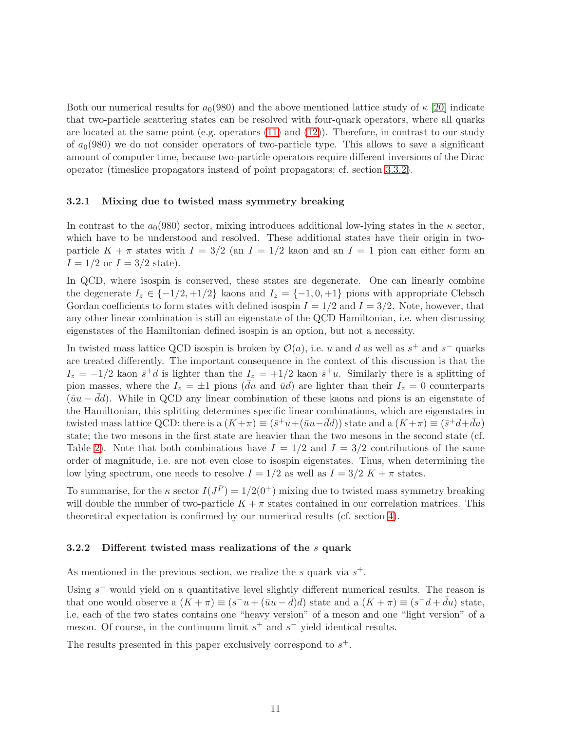Both our numerical results for  $a_0(980)$  and the above mentioned lattice study of  $\kappa$  [\[20\]](#page-20-9) indicate that two-particle scattering states can be resolved with four-quark operators, where all quarks are located at the same point (e.g. operators [\(11\)](#page-9-0) and [\(12\)](#page-9-1)). Therefore, in contrast to our study of  $a_0(980)$  we do not consider operators of two-particle type. This allows to save a significant amount of computer time, because two-particle operators require different inversions of the Dirac operator (timeslice propagators instead of point propagators; cf. section [3.3.2\)](#page-11-0).

#### <span id="page-10-1"></span>3.2.1 Mixing due to twisted mass symmetry breaking

In contrast to the  $a_0(980)$  sector, mixing introduces additional low-lying states in the  $\kappa$  sector, which have to be understood and resolved. These additional states have their origin in twoparticle  $K + \pi$  states with  $I = 3/2$  (an  $I = 1/2$  kaon and an  $I = 1$  pion can either form an  $I = 1/2$  or  $I = 3/2$  state).

In QCD, where isospin is conserved, these states are degenerate. One can linearly combine the degenerate  $I_z \in \{-1/2, +1/2\}$  kaons and  $I_z = \{-1, 0, +1\}$  pions with appropriate Clebsch Gordan coefficients to form states with defined isospin  $I = 1/2$  and  $I = 3/2$ . Note, however, that any other linear combination is still an eigenstate of the QCD Hamiltonian, i.e. when discussing eigenstates of the Hamiltonian defined isospin is an option, but not a necessity.

In twisted mass lattice QCD isospin is broken by  $\mathcal{O}(a)$ , i.e. u and d as well as  $s^+$  and  $s^-$  quarks are treated differently. The important consequence in the context of this discussion is that the  $I_z = -1/2$  kaon  $\bar{s}^+d$  is lighter than the  $I_z = +1/2$  kaon  $\bar{s}^+u$ . Similarly there is a splitting of pion masses, where the  $I_z = \pm 1$  pions (du and  $\bar{u}d$ ) are lighter than their  $I_z = 0$  counterparts  $(\bar{u}u - dd)$ . While in QCD any linear combination of these kaons and pions is an eigenstate of the Hamiltonian, this splitting determines specific linear combinations, which are eigenstates in twisted mass lattice QCD: there is a  $(K+\pi) \equiv (\bar{s}^+u+(\bar{u}u-\bar{d}d))$  state and a  $(K+\pi) \equiv (\bar{s}^+d+\bar{d}u)$ state; the two mesons in the first state are heavier than the two mesons in the second state (cf. Table [2\)](#page-5-1). Note that both combinations have  $I = 1/2$  and  $I = 3/2$  contributions of the same order of magnitude, i.e. are not even close to isospin eigenstates. Thus, when determining the low lying spectrum, one needs to resolve  $I = 1/2$  as well as  $I = 3/2$  K +  $\pi$  states.

To summarise, for the  $\kappa$  sector  $I(J^P) = 1/2(0^+)$  mixing due to twisted mass symmetry breaking will double the number of two-particle  $K + \pi$  states contained in our correlation matrices. This theoretical expectation is confirmed by our numerical results (cf. section [4\)](#page-12-0).

#### <span id="page-10-0"></span>3.2.2 Different twisted mass realizations of the s quark

As mentioned in the previous section, we realize the  $s$  quark via  $s^+$ .

Using  $s^-$  would yield on a quantitative level slightly different numerical results. The reason is that one would observe a  $(K + \pi) \equiv (s^-u + (\bar{u}u - \bar{d})d)$  state and a  $(K + \pi) \equiv (s^-d + \bar{d}u)$  state, i.e. each of the two states contains one "heavy version" of a meson and one "light version" of a meson. Of course, in the continuum limit  $s^+$  and  $s^-$  yield identical results.

The results presented in this paper exclusively correspond to  $s^+$ .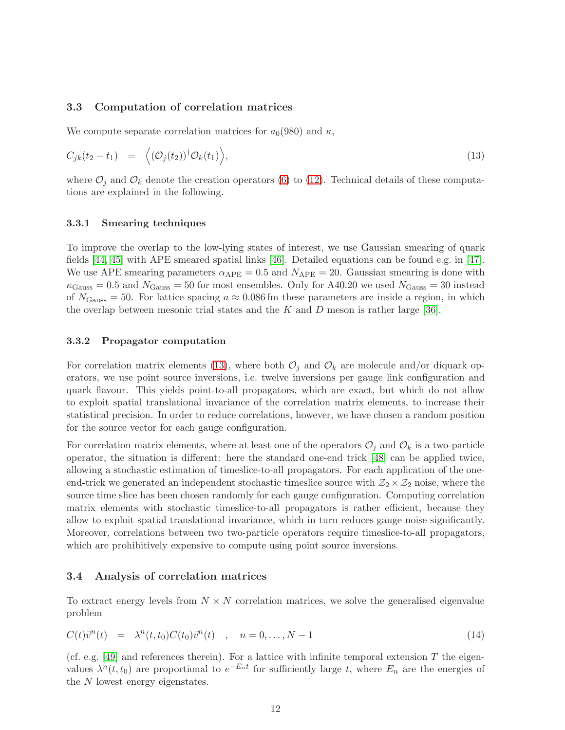#### 3.3 Computation of correlation matrices

We compute separate correlation matrices for  $a_0(980)$  and  $\kappa$ ,

<span id="page-11-1"></span>
$$
C_{jk}(t_2 - t_1) = \langle (\mathcal{O}_j(t_2))^{\dagger} \mathcal{O}_k(t_1) \rangle, \qquad (13)
$$

where  $\mathcal{O}_j$  and  $\mathcal{O}_k$  denote the creation operators [\(6\)](#page-7-1) to [\(12\)](#page-9-1). Technical details of these computations are explained in the following.

#### 3.3.1 Smearing techniques

To improve the overlap to the low-lying states of interest, we use Gaussian smearing of quark fields [\[44,](#page-22-0) [45\]](#page-22-1) with APE smeared spatial links [\[46\]](#page-22-2). Detailed equations can be found e.g. in [\[47\]](#page-22-3). We use APE smearing parameters  $\alpha_{\text{APE}} = 0.5$  and  $N_{\text{APE}} = 20$ . Gaussian smearing is done with  $\kappa_{\text{Gauss}} = 0.5$  and  $N_{\text{Gauss}} = 50$  for most ensembles. Only for A40.20 we used  $N_{\text{Gauss}} = 30$  instead of  $N_{\text{Gauss}} = 50$ . For lattice spacing  $a \approx 0.086$  fm these parameters are inside a region, in which the overlap between mesonic trial states and the  $K$  and  $D$  meson is rather large [\[36\]](#page-21-8).

#### <span id="page-11-0"></span>3.3.2 Propagator computation

For correlation matrix elements [\(13\)](#page-11-1), where both  $\mathcal{O}_i$  and  $\mathcal{O}_k$  are molecule and/or diquark operators, we use point source inversions, i.e. twelve inversions per gauge link configuration and quark flavour. This yields point-to-all propagators, which are exact, but which do not allow to exploit spatial translational invariance of the correlation matrix elements, to increase their statistical precision. In order to reduce correlations, however, we have chosen a random position for the source vector for each gauge configuration.

For correlation matrix elements, where at least one of the operators  $\mathcal{O}_i$  and  $\mathcal{O}_k$  is a two-particle operator, the situation is different: here the standard one-end trick [\[48\]](#page-22-4) can be applied twice, allowing a stochastic estimation of timeslice-to-all propagators. For each application of the oneend-trick we generated an independent stochastic timeslice source with  $\mathcal{Z}_2 \times \mathcal{Z}_2$  noise, where the source time slice has been chosen randomly for each gauge configuration. Computing correlation matrix elements with stochastic timeslice-to-all propagators is rather efficient, because they allow to exploit spatial translational invariance, which in turn reduces gauge noise significantly. Moreover, correlations between two two-particle operators require timeslice-to-all propagators, which are prohibitively expensive to compute using point source inversions.

#### 3.4 Analysis of correlation matrices

To extract energy levels from  $N \times N$  correlation matrices, we solve the generalised eigenvalue problem

$$
C(t)\vec{v}^n(t) = \lambda^n(t, t_0)C(t_0)\vec{v}^n(t) , \quad n = 0, \dots, N-1
$$
\n(14)

(cf. e.g.  $[49]$  and references therein). For a lattice with infinite temporal extension T the eigenvalues  $\lambda^n(t,t_0)$  are proportional to  $e^{-E_nt}$  for sufficiently large t, where  $E_n$  are the energies of the N lowest energy eigenstates.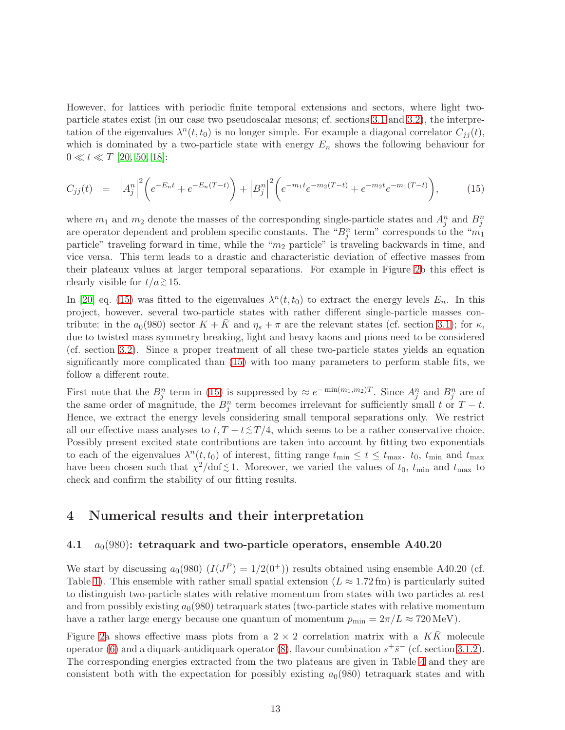However, for lattices with periodic finite temporal extensions and sectors, where light twoparticle states exist (in our case two pseudoscalar mesons; cf. sections [3.1](#page-6-1) and [3.2\)](#page-9-2), the interpretation of the eigenvalues  $\lambda^n(t, t_0)$  is no longer simple. For example a diagonal correlator  $C_{jj}(t)$ , which is dominated by a two-particle state with energy  $E_n$  shows the following behaviour for  $0 \ll t \ll T$  [\[20,](#page-20-9) [50,](#page-22-6) [18\]](#page-20-7):

<span id="page-12-2"></span>
$$
C_{jj}(t) = |A_j^n|^2 \left( e^{-E_n t} + e^{-E_n(T-t)} \right) + |B_j^n|^2 \left( e^{-m_1 t} e^{-m_2(T-t)} + e^{-m_2 t} e^{-m_1(T-t)} \right), \tag{15}
$$

where  $m_1$  and  $m_2$  denote the masses of the corresponding single-particle states and  $A_j^n$  and  $B_j^n$ are operator dependent and problem specific constants. The " $B_j^n$  term" corresponds to the " $m_1$ " particle" traveling forward in time, while the " $m_2$  particle" is traveling backwards in time, and vice versa. This term leads to a drastic and characteristic deviation of effective masses from their plateaux values at larger temporal separations. For example in Figure [2b](#page-13-0) this effect is clearly visible for  $t/a \gtrsim 15$ .

In [\[20\]](#page-20-9) eq. [\(15\)](#page-12-2) was fitted to the eigenvalues  $\lambda^{n}(t,t_0)$  to extract the energy levels  $E_n$ . In this project, however, several two-particle states with rather different single-particle masses contribute: in the  $a_0(980)$  sector  $K + \overline{K}$  and  $\eta_s + \pi$  are the relevant states (cf. section [3.1\)](#page-6-1); for  $\kappa$ , due to twisted mass symmetry breaking, light and heavy kaons and pions need to be considered (cf. section [3.2\)](#page-9-2). Since a proper treatment of all these two-particle states yields an equation significantly more complicated than [\(15\)](#page-12-2) with too many parameters to perform stable fits, we follow a different route.

First note that the  $B_j^n$  term in [\(15\)](#page-12-2) is suppressed by  $\approx e^{-\min(m_1,m_2)T}$ . Since  $A_j^n$  and  $B_j^n$  are of the same order of magnitude, the  $B_j^n$  term becomes irrelevant for sufficiently small t or  $T-t$ . Hence, we extract the energy levels considering small temporal separations only. We restrict all our effective mass analyses to  $t, T - t \leq T/4$ , which seems to be a rather conservative choice. Possibly present excited state contributions are taken into account by fitting two exponentials to each of the eigenvalues  $\lambda^n(t, t_0)$  of interest, fitting range  $t_{\min} \le t \le t_{\max}$ .  $t_0$ ,  $t_{\min}$  and  $t_{\max}$ have been chosen such that  $\chi^2/\text{dof} \lesssim 1$ . Moreover, we varied the values of  $t_0$ ,  $t_{\text{min}}$  and  $t_{\text{max}}$  to check and confirm the stability of our fitting results.

## <span id="page-12-1"></span><span id="page-12-0"></span>4 Numerical results and their interpretation

#### 4.1  $a_0(980)$ : tetraquark and two-particle operators, ensemble A40.20

We start by discussing  $a_0(980)$   $(I(J^P) = 1/2(0^+))$  results obtained using ensemble A40.20 (cf. Table [1\)](#page-4-0). This ensemble with rather small spatial extension  $(L \approx 1.72 \text{ fm})$  is particularly suited to distinguish two-particle states with relative momentum from states with two particles at rest and from possibly existing  $a_0(980)$  tetraquark states (two-particle states with relative momentum have a rather large energy because one quantum of momentum  $p_{\min} = 2\pi/L \approx 720 \,\text{MeV}$ .

Figure [2a](#page-13-0) shows effective mass plots from a  $2 \times 2$  correlation matrix with a  $K\bar{K}$  molecule operator [\(6\)](#page-7-1) and a diquark-antidiquark operator [\(8\)](#page-7-2), flavour combination  $s^+\overline{s}^-$  (cf. section [3.1.2\)](#page-8-0). The corresponding energies extracted from the two plateaus are given in Table [4](#page-16-1) and they are consistent both with the expectation for possibly existing  $a<sub>0</sub>(980)$  tetraquark states and with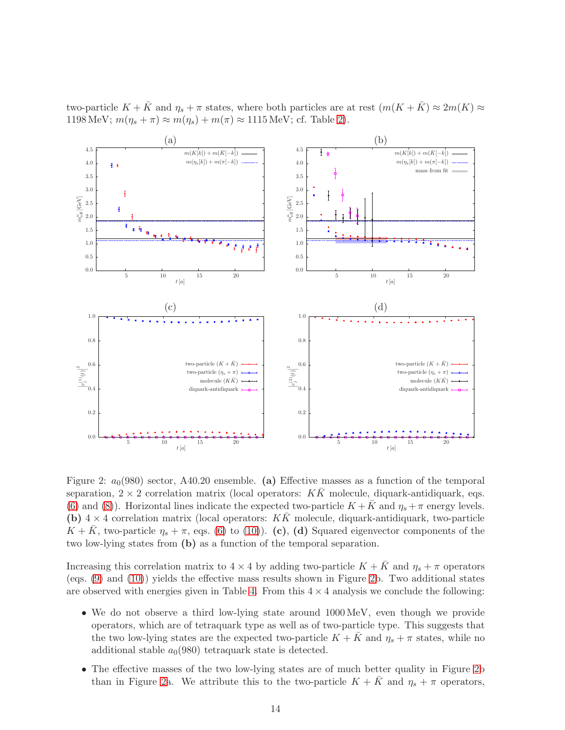two-particle  $K + \bar{K}$  and  $\eta_s + \pi$  states, where both particles are at rest  $(m(K + \bar{K}) \approx 2m(K) \approx$ 1198 MeV;  $m(\eta_s + \pi) \approx m(\eta_s) + m(\pi) \approx 1115$  MeV; cf. Table [2\)](#page-5-1).

<span id="page-13-0"></span>

Figure 2:  $a_0(980)$  sector, A40.20 ensemble. (a) Effective masses as a function of the temporal separation,  $2 \times 2$  correlation matrix (local operators: KK molecule, diquark-antidiquark, eqs. [\(6\)](#page-7-1) and [\(8\)](#page-7-2)). Horizontal lines indicate the expected two-particle  $K + \bar{K}$  and  $\eta_s + \pi$  energy levels. (b)  $4 \times 4$  correlation matrix (local operators:  $K\overline{K}$  molecule, diquark-antidiquark, two-particle  $K + K$ , two-particle  $\eta_s + \pi$ , eqs. [\(6\)](#page-7-1) to [\(10\)](#page-7-0)). (c), (d) Squared eigenvector components of the two low-lying states from (b) as a function of the temporal separation.

Increasing this correlation matrix to  $4 \times 4$  by adding two-particle  $K + \bar{K}$  and  $\eta_s + \pi$  operators (eqs.  $(9)$  and  $(10)$ ) yields the effective mass results shown in Figure [2b](#page-13-0). Two additional states are observed with energies given in Table [4.](#page-16-1) From this  $4 \times 4$  analysis we conclude the following:

- We do not observe a third low-lying state around 1000 MeV, even though we provide operators, which are of tetraquark type as well as of two-particle type. This suggests that the two low-lying states are the expected two-particle  $K + \overline{K}$  and  $\eta_s + \pi$  states, while no additional stable  $a_0(980)$  tetraquark state is detected.
- The effective masses of the two low-lying states are of much better quality in Figure [2b](#page-13-0) than in Figure [2a](#page-13-0). We attribute this to the two-particle  $K + K$  and  $\eta_s + \pi$  operators,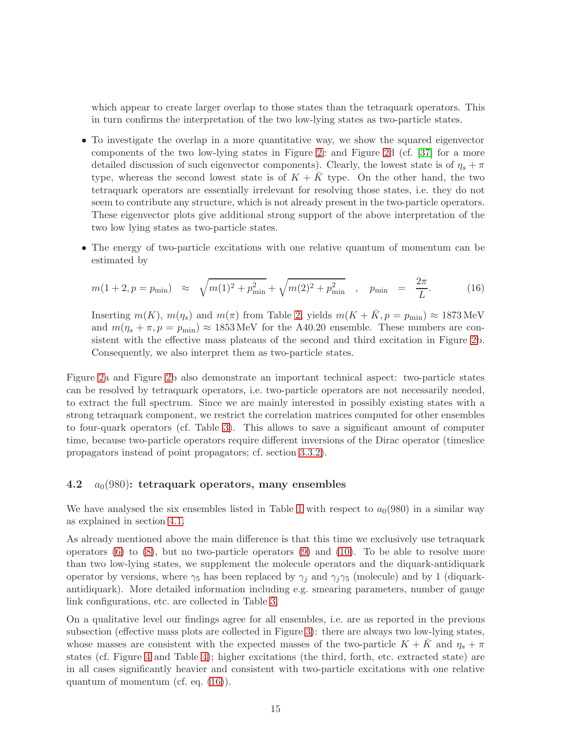which appear to create larger overlap to those states than the tetraquark operators. This in turn confirms the interpretation of the two low-lying states as two-particle states.

- To investigate the overlap in a more quantitative way, we show the squared eigenvector components of the two low-lying states in Figure [2c](#page-13-0) and Figure [2d](#page-13-0) (cf. [\[37\]](#page-21-9) for a more detailed discussion of such eigenvector components). Clearly, the lowest state is of  $\eta_s + \pi$ type, whereas the second lowest state is of  $K + \overline{K}$  type. On the other hand, the two tetraquark operators are essentially irrelevant for resolving those states, i.e. they do not seem to contribute any structure, which is not already present in the two-particle operators. These eigenvector plots give additional strong support of the above interpretation of the two low lying states as two-particle states.
- The energy of two-particle excitations with one relative quantum of momentum can be estimated by

<span id="page-14-0"></span>
$$
m(1+2, p = p_{\min}) \approx \sqrt{m(1)^2 + p_{\min}^2} + \sqrt{m(2)^2 + p_{\min}^2} \quad , \quad p_{\min} = \frac{2\pi}{L}.
$$
 (16)

Inserting  $m(K)$ ,  $m(\eta_s)$  and  $m(\pi)$  from Table [2,](#page-5-1) yields  $m(K + \overline{K}, p = p_{\text{min}}) \approx 1873 \text{ MeV}$ and  $m(\eta_s + \pi, p = p_{\text{min}}) \approx 1853 \text{ MeV}$  for the A40.20 ensemble. These numbers are consistent with the effective mass plateaus of the second and third excitation in Figure [2b](#page-13-0). Consequently, we also interpret them as two-particle states.

Figure [2a](#page-13-0) and Figure [2b](#page-13-0) also demonstrate an important technical aspect: two-particle states can be resolved by tetraquark operators, i.e. two-particle operators are not necessarily needed, to extract the full spectrum. Since we are mainly interested in possibly existing states with a strong tetraquark component, we restrict the correlation matrices computed for other ensembles to four-quark operators (cf. Table [3\)](#page-6-0). This allows to save a significant amount of computer time, because two-particle operators require different inversions of the Dirac operator (timeslice propagators instead of point propagators; cf. section [3.3.2\)](#page-11-0).

#### 4.2  $a_0(980)$ : tetraquark operators, many ensembles

We have analysed the six ensembles listed in Table [1](#page-4-0) with respect to  $a_0(980)$  in a similar way as explained in section [4.1.](#page-12-1)

As already mentioned above the main difference is that this time we exclusively use tetraquark operators  $(6)$  to  $(8)$ , but no two-particle operators  $(9)$  and  $(10)$ . To be able to resolve more than two low-lying states, we supplement the molecule operators and the diquark-antidiquark operator by versions, where  $\gamma_5$  has been replaced by  $\gamma_j$  and  $\gamma_j \gamma_5$  (molecule) and by 1 (diquarkantidiquark). More detailed information including e.g. smearing parameters, number of gauge link configurations, etc. are collected in Table [3.](#page-6-0)

On a qualitative level our findings agree for all ensembles, i.e. are as reported in the previous subsection (effective mass plots are collected in Figure [3\)](#page-15-0): there are always two low-lying states, whose masses are consistent with the expected masses of the two-particle  $K + \bar{K}$  and  $\eta_s + \pi$ states (cf. Figure [4](#page-16-2) and Table [4\)](#page-16-1); higher excitations (the third, forth, etc. extracted state) are in all cases significantly heavier and consistent with two-particle excitations with one relative quantum of momentum (cf. eq. [\(16\)](#page-14-0)).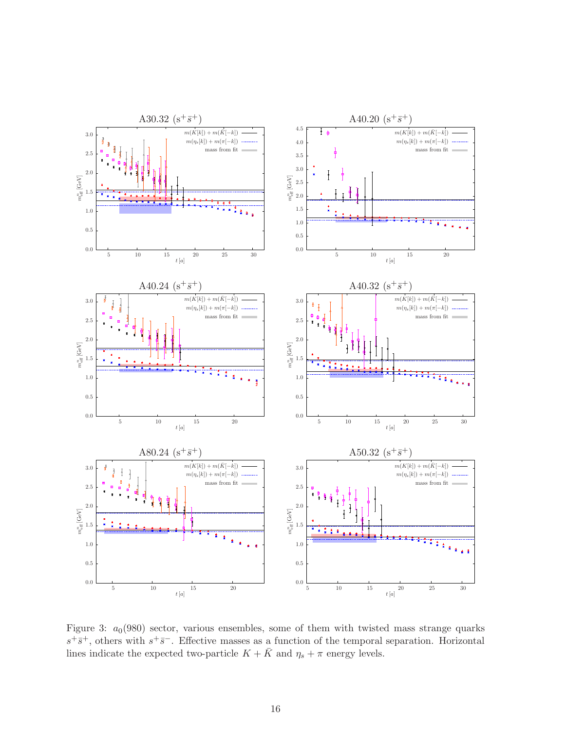<span id="page-15-0"></span>

Figure 3:  $a_0(980)$  sector, various ensembles, some of them with twisted mass strange quarks  $s^+\overline{s}^+$ , others with  $s^+\overline{s}^-$ . Effective masses as a function of the temporal separation. Horizontal lines indicate the expected two-particle  $K + \bar{K}$  and  $\eta_s + \pi$  energy levels.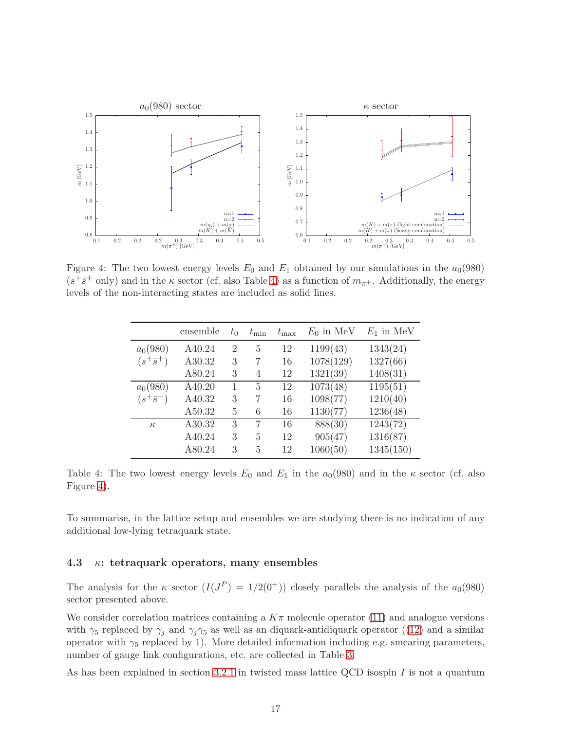<span id="page-16-2"></span>

<span id="page-16-1"></span>Figure 4: The two lowest energy levels  $E_0$  and  $E_1$  obtained by our simulations in the  $a_0(980)$  $(s^+\bar{s}^+)$  and in the  $\kappa$  sector (cf. also Table [4\)](#page-16-1) as a function of  $m_{\pi^+}$ . Additionally, the energy levels of the non-interacting states are included as solid lines.

|                  | ensemble | $t_0$          | $t_{\rm min}$  | $t_{\rm max}$ | $E_0$ in MeV | $E_1$ in MeV |
|------------------|----------|----------------|----------------|---------------|--------------|--------------|
| $a_0(980)$       | A40.24   | $\overline{2}$ | 5              | 12            | 1199(43)     | 1343(24)     |
| $(s^+\bar{s}^+)$ | A30.32   | 3              | 7              | 16            | 1078(129)    | 1327(66)     |
|                  | A80.24   | 3              | 4              | 12            | 1321(39)     | 1408(31)     |
| $a_0(980)$       | A40.20   |                | $\overline{5}$ | 12            | 1073(48)     | 1195(51)     |
| $(s^+\bar{s}^-)$ | A40.32   | 3              | 7              | 16            | 1098(77)     | 1210(40)     |
|                  | A50.32   | 5              | 6              | 16            | 1130(77)     | 1236(48)     |
| $\kappa$         | A30.32   | 3              |                | 16            | 888(30)      | 1243(72)     |
|                  | A40.24   | 3              | 5              | 12            | 905(47)      | 1316(87)     |
|                  | A80.24   | 3              | 5              | 12            | 1060(50)     | 1345(150)    |

Table 4: The two lowest energy levels  $E_0$  and  $E_1$  in the  $a_0(980)$  and in the  $\kappa$  sector (cf. also Figure [4\)](#page-16-2).

To summarise, in the lattice setup and ensembles we are studying there is no indication of any additional low-lying tetraquark state.

#### <span id="page-16-0"></span>4.3  $\kappa$ : tetraquark operators, many ensembles

The analysis for the  $\kappa$  sector  $(I(J^P) = 1/2(0^+))$  closely parallels the analysis of the  $a_0(980)$ sector presented above.

We consider correlation matrices containing a  $K\pi$  molecule operator [\(11\)](#page-9-0) and analogue versions with  $\gamma_5$  replaced by  $\gamma_i$  and  $\gamma_i \gamma_5$  as well as an diquark-antidiquark operator ([\(12\)](#page-9-1) and a similar operator with  $\gamma_5$  replaced by 1). More detailed information including e.g. smearing parameters, number of gauge link configurations, etc. are collected in Table [3.](#page-6-0)

As has been explained in section [3.2.1](#page-10-1) in twisted mass lattice QCD isospin  $I$  is not a quantum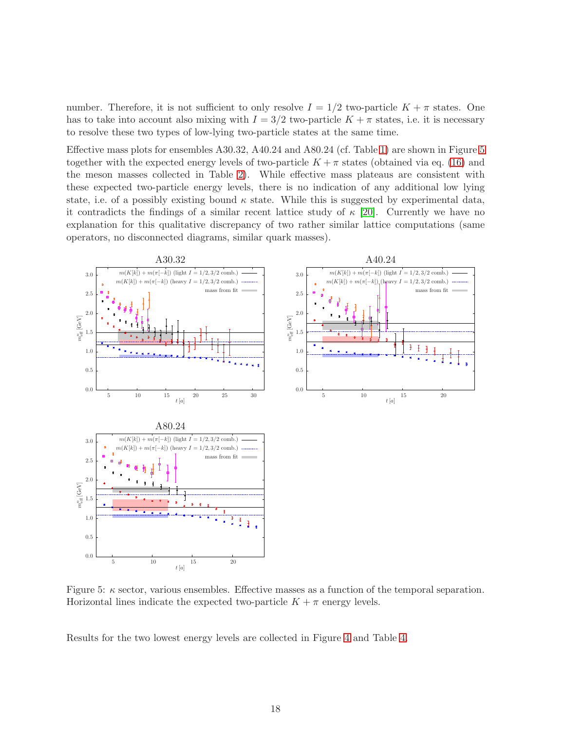number. Therefore, it is not sufficient to only resolve  $I = 1/2$  two-particle  $K + \pi$  states. One has to take into account also mixing with  $I = 3/2$  two-particle  $K + \pi$  states, i.e. it is necessary to resolve these two types of low-lying two-particle states at the same time.

Effective mass plots for ensembles A30.32, A40.24 and A80.24 (cf. Table [1\)](#page-4-0) are shown in Figure [5](#page-17-0) together with the expected energy levels of two-particle  $K + \pi$  states (obtained via eq. [\(16\)](#page-14-0) and the meson masses collected in Table [2\)](#page-5-1). While effective mass plateaus are consistent with these expected two-particle energy levels, there is no indication of any additional low lying state, i.e. of a possibly existing bound  $\kappa$  state. While this is suggested by experimental data, it contradicts the findings of a similar recent lattice study of  $\kappa$  [\[20\]](#page-20-9). Currently we have no explanation for this qualitative discrepancy of two rather similar lattice computations (same operators, no disconnected diagrams, similar quark masses).

<span id="page-17-0"></span>

Figure 5:  $\kappa$  sector, various ensembles. Effective masses as a function of the temporal separation. Horizontal lines indicate the expected two-particle  $K + \pi$  energy levels.

Results for the two lowest energy levels are collected in Figure [4](#page-16-2) and Table [4.](#page-16-1)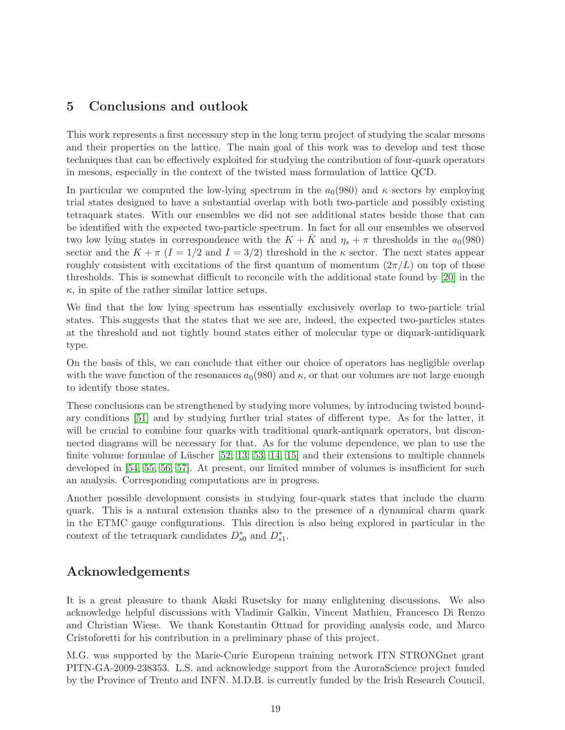# 5 Conclusions and outlook

This work represents a first necessary step in the long term project of studying the scalar mesons and their properties on the lattice. The main goal of this work was to develop and test those techniques that can be effectively exploited for studying the contribution of four-quark operators in mesons, especially in the context of the twisted mass formulation of lattice QCD.

In particular we computed the low-lying spectrum in the  $a_0(980)$  and  $\kappa$  sectors by employing trial states designed to have a substantial overlap with both two-particle and possibly existing tetraquark states. With our ensembles we did not see additional states beside those that can be identified with the expected two-particle spectrum. In fact for all our ensembles we observed two low lying states in correspondence with the  $K + K$  and  $\eta_s + \pi$  thresholds in the  $a_0(980)$ sector and the  $K + \pi (I = 1/2$  and  $I = 3/2)$  threshold in the  $\kappa$  sector. The next states appear roughly consistent with excitations of the first quantum of momentum  $(2\pi/L)$  on top of those thresholds. This is somewhat difficult to reconcile with the additional state found by [\[20\]](#page-20-9) in the  $\kappa$ , in spite of the rather similar lattice setups.

We find that the low lying spectrum has essentially exclusively overlap to two-particle trial states. This suggests that the states that we see are, indeed, the expected two-particles states at the threshold and not tightly bound states either of molecular type or diquark-antidiquark type.

On the basis of this, we can conclude that either our choice of operators has negligible overlap with the wave function of the resonances  $a_0(980)$  and  $\kappa$ , or that our volumes are not large enough to identify those states.

These conclusions can be strengthened by studying more volumes, by introducing twisted boundary conditions [\[51\]](#page-22-7) and by studying further trial states of different type. As for the latter, it will be crucial to combine four quarks with traditional quark-antiquark operators, but disconnected diagrams will be necessary for that. As for the volume dependence, we plan to use the finite volume formulae of Lüscher  $[52, 13, 53, 14, 15]$  $[52, 13, 53, 14, 15]$  $[52, 13, 53, 14, 15]$  $[52, 13, 53, 14, 15]$  $[52, 13, 53, 14, 15]$  and their extensions to multiple channels developed in [\[54,](#page-22-10) [55,](#page-22-11) [56,](#page-22-12) [57\]](#page-22-13). At present, our limited number of volumes is insufficient for such an analysis. Corresponding computations are in progress.

Another possible development consists in studying four-quark states that include the charm quark. This is a natural extension thanks also to the presence of a dynamical charm quark in the ETMC gauge configurations. This direction is also being explored in particular in the context of the tetraquark candidates  $D_{s0}^*$  and  $D_{s1}^*$ .

# Acknowledgements

It is a great pleasure to thank Akaki Rusetsky for many enlightening discussions. We also acknowledge helpful discussions with Vladimir Galkin, Vincent Mathieu, Francesco Di Renzo and Christian Wiese. We thank Konstantin Ottnad for providing analysis code, and Marco Cristoforetti for his contribution in a preliminary phase of this project.

M.G. was supported by the Marie-Curie European training network ITN STRONGnet grant PITN-GA-2009-238353. L.S. and acknowledge support from the AuroraScience project funded by the Province of Trento and INFN. M.D.B. is currently funded by the Irish Research Council,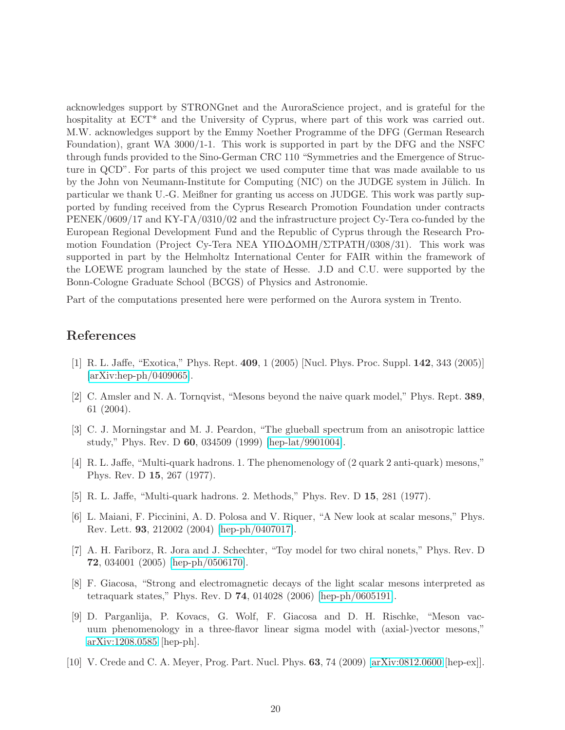acknowledges support by STRONGnet and the AuroraScience project, and is grateful for the hospitality at ECT<sup>\*</sup> and the University of Cyprus, where part of this work was carried out. M.W. acknowledges support by the Emmy Noether Programme of the DFG (German Research Foundation), grant WA 3000/1-1. This work is supported in part by the DFG and the NSFC through funds provided to the Sino-German CRC 110 "Symmetries and the Emergence of Structure in QCD". For parts of this project we used computer time that was made available to us by the John von Neumann-Institute for Computing (NIC) on the JUDGE system in Jülich. In particular we thank U.-G. Meißner for granting us access on JUDGE. This work was partly supported by funding received from the Cyprus Research Promotion Foundation under contracts PENEK/0609/17 and KY-ΓA/0310/02 and the infrastructure project Cy-Tera co-funded by the European Regional Development Fund and the Republic of Cyprus through the Research Promotion Foundation (Project Cy-Tera NEA YΠO∆OMH/ΣTPATH/0308/31). This work was supported in part by the Helmholtz International Center for FAIR within the framework of the LOEWE program launched by the state of Hesse. J.D and C.U. were supported by the Bonn-Cologne Graduate School (BCGS) of Physics and Astronomie.

Part of the computations presented here were performed on the Aurora system in Trento.

## <span id="page-19-0"></span>References

- <span id="page-19-1"></span>[1] R. L. Jaffe, "Exotica," Phys. Rept. 409, 1 (2005) [Nucl. Phys. Proc. Suppl. 142, 343 (2005)] [\[arXiv:hep-ph/0409065\]](http://arxiv.org/abs/hep-ph/0409065).
- <span id="page-19-2"></span>[2] C. Amsler and N. A. Tornqvist, "Mesons beyond the naive quark model," Phys. Rept. 389, 61 (2004).
- [3] C. J. Morningstar and M. J. Peardon, "The glueball spectrum from an anisotropic lattice study," Phys. Rev. D 60, 034509 (1999) [\[hep-lat/9901004\]](http://arxiv.org/abs/hep-lat/9901004).
- <span id="page-19-3"></span>[4] R. L. Jaffe, "Multi-quark hadrons. 1. The phenomenology of (2 quark 2 anti-quark) mesons," Phys. Rev. D 15, 267 (1977).
- <span id="page-19-5"></span><span id="page-19-4"></span>[5] R. L. Jaffe, "Multi-quark hadrons. 2. Methods," Phys. Rev. D 15, 281 (1977).
- [6] L. Maiani, F. Piccinini, A. D. Polosa and V. Riquer, "A New look at scalar mesons," Phys. Rev. Lett. 93, 212002 (2004) [\[hep-ph/0407017\]](http://arxiv.org/abs/hep-ph/0407017).
- <span id="page-19-6"></span>[7] A. H. Fariborz, R. Jora and J. Schechter, "Toy model for two chiral nonets," Phys. Rev. D 72, 034001 (2005) [\[hep-ph/0506170\]](http://arxiv.org/abs/hep-ph/0506170).
- <span id="page-19-7"></span>[8] F. Giacosa, "Strong and electromagnetic decays of the light scalar mesons interpreted as tetraquark states," Phys. Rev. D 74, 014028 (2006) [\[hep-ph/0605191\]](http://arxiv.org/abs/hep-ph/0605191).
- <span id="page-19-8"></span>[9] D. Parganlija, P. Kovacs, G. Wolf, F. Giacosa and D. H. Rischke, "Meson vacuum phenomenology in a three-flavor linear sigma model with (axial-)vector mesons," [arXiv:1208.0585](http://arxiv.org/abs/1208.0585) [hep-ph].
- <span id="page-19-9"></span>[10] V. Crede and C. A. Meyer, Prog. Part. Nucl. Phys. 63, 74 (2009) [\[arXiv:0812.0600](http://arxiv.org/abs/0812.0600) [hep-ex]].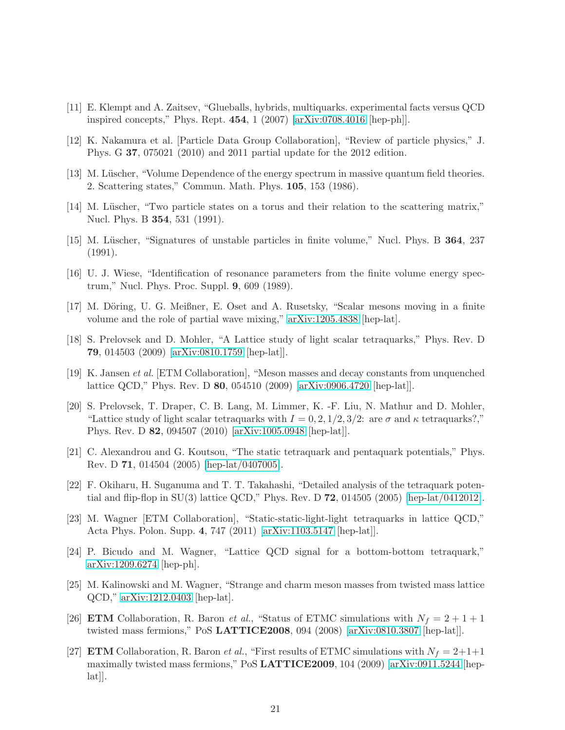- <span id="page-20-1"></span><span id="page-20-0"></span>[11] E. Klempt and A. Zaitsev, "Glueballs, hybrids, multiquarks. experimental facts versus QCD inspired concepts," Phys. Rept. 454, 1 (2007) [\[arXiv:0708.4016](http://arxiv.org/abs/0708.4016) [hep-ph]].
- <span id="page-20-2"></span>[12] K. Nakamura et al. [Particle Data Group Collaboration], "Review of particle physics," J. Phys. G 37, 075021 (2010) and 2011 partial update for the 2012 edition.
- <span id="page-20-3"></span>[13] M. Lüscher, "Volume Dependence of the energy spectrum in massive quantum field theories. 2. Scattering states," Commun. Math. Phys. 105, 153 (1986).
- <span id="page-20-4"></span>[14] M. Lüscher, "Two particle states on a torus and their relation to the scattering matrix," Nucl. Phys. B 354, 531 (1991).
- <span id="page-20-5"></span>[15] M. Lüscher, "Signatures of unstable particles in finite volume," Nucl. Phys. B 364, 237 (1991).
- <span id="page-20-6"></span>[16] U. J. Wiese, "Identification of resonance parameters from the finite volume energy spectrum," Nucl. Phys. Proc. Suppl. 9, 609 (1989).
- <span id="page-20-7"></span>[17] M. Döring, U. G. Meißner, E. Oset and A. Rusetsky, "Scalar mesons moving in a finite volume and the role of partial wave mixing," [arXiv:1205.4838](http://arxiv.org/abs/1205.4838) [hep-lat].
- [18] S. Prelovsek and D. Mohler, "A Lattice study of light scalar tetraquarks," Phys. Rev. D 79, 014503 (2009) [\[arXiv:0810.1759](http://arxiv.org/abs/0810.1759) [hep-lat]].
- <span id="page-20-8"></span>[19] K. Jansen et al. [ETM Collaboration], "Meson masses and decay constants from unquenched lattice QCD," Phys. Rev. D 80, 054510 (2009) [\[arXiv:0906.4720](http://arxiv.org/abs/0906.4720) [hep-lat]].
- <span id="page-20-9"></span>[20] S. Prelovsek, T. Draper, C. B. Lang, M. Limmer, K. -F. Liu, N. Mathur and D. Mohler, "Lattice study of light scalar tetraquarks with  $I = 0, 2, 1/2, 3/2$ : are  $\sigma$  and  $\kappa$  tetraquarks?," Phys. Rev. D 82, 094507 (2010) [\[arXiv:1005.0948](http://arxiv.org/abs/1005.0948) [hep-lat]].
- <span id="page-20-10"></span>[21] C. Alexandrou and G. Koutsou, "The static tetraquark and pentaquark potentials," Phys. Rev. D 71, 014504 (2005) [\[hep-lat/0407005\]](http://arxiv.org/abs/hep-lat/0407005).
- <span id="page-20-11"></span>[22] F. Okiharu, H. Suganuma and T. T. Takahashi, "Detailed analysis of the tetraquark potential and flip-flop in SU(3) lattice QCD," Phys. Rev. D  $72$ , 014505 (2005) [\[hep-lat/0412012\]](http://arxiv.org/abs/hep-lat/0412012).
- <span id="page-20-12"></span>[23] M. Wagner [ETM Collaboration], "Static-static-light-light tetraquarks in lattice QCD," Acta Phys. Polon. Supp. 4, 747 (2011) [\[arXiv:1103.5147](http://arxiv.org/abs/1103.5147) [hep-lat]].
- <span id="page-20-13"></span>[24] P. Bicudo and M. Wagner, "Lattice QCD signal for a bottom-bottom tetraquark," [arXiv:1209.6274](http://arxiv.org/abs/1209.6274) [hep-ph].
- <span id="page-20-14"></span>[25] M. Kalinowski and M. Wagner, "Strange and charm meson masses from twisted mass lattice QCD," [arXiv:1212.0403](http://arxiv.org/abs/1212.0403) [hep-lat].
- <span id="page-20-15"></span>[26] **ETM** Collaboration, R. Baron *et al.*, "Status of ETMC simulations with  $N_f = 2 + 1 + 1$ twisted mass fermions," PoS LATTICE2008, 094 (2008) [\[arXiv:0810.3807](http://arxiv.org/abs/0810.3807) [hep-lat]].
- <span id="page-20-16"></span>[27] **ETM** Collaboration, R. Baron *et al.*, "First results of ETMC simulations with  $N_f = 2+1+1$ maximally twisted mass fermions," PoS LATTICE2009, 104 (2009) [\[arXiv:0911.5244](http://arxiv.org/abs/0911.5244) [heplat]].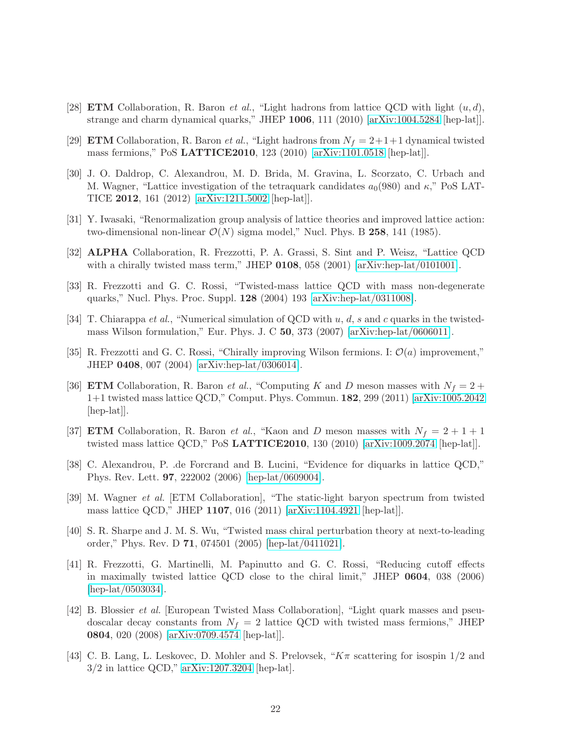- <span id="page-21-1"></span><span id="page-21-0"></span>[28] **ETM** Collaboration, R. Baron *et al.*, "Light hadrons from lattice QCD with light  $(u, d)$ , strange and charm dynamical quarks," JHEP 1006, 111 (2010) [\[arXiv:1004.5284](http://arxiv.org/abs/1004.5284) [hep-lat]].
- <span id="page-21-2"></span>[29] **ETM** Collaboration, R. Baron *et al.*, "Light hadrons from  $N_f = 2+1+1$  dynamical twisted mass fermions," PoS LATTICE2010, 123 (2010) [\[arXiv:1101.0518](http://arxiv.org/abs/1101.0518) [hep-lat]].
- [30] J. O. Daldrop, C. Alexandrou, M. D. Brida, M. Gravina, L. Scorzato, C. Urbach and M. Wagner, "Lattice investigation of the tetraquark candidates  $a_0(980)$  and  $\kappa$ ," PoS LAT-TICE 2012, 161 (2012) [\[arXiv:1211.5002](http://arxiv.org/abs/1211.5002) [hep-lat]].
- <span id="page-21-4"></span><span id="page-21-3"></span>[31] Y. Iwasaki, "Renormalization group analysis of lattice theories and improved lattice action: two-dimensional non-linear  $\mathcal{O}(N)$  sigma model," Nucl. Phys. B 258, 141 (1985).
- [32] ALPHA Collaboration, R. Frezzotti, P. A. Grassi, S. Sint and P. Weisz, "Lattice QCD with a chirally twisted mass term," JHEP  $0108$ , 058 (2001) [\[arXiv:hep-lat/0101001\]](http://arxiv.org/abs/hep-lat/0101001).
- <span id="page-21-5"></span>[33] R. Frezzotti and G. C. Rossi, "Twisted-mass lattice QCD with mass non-degenerate quarks," Nucl. Phys. Proc. Suppl. 128 (2004) 193 [\[arXiv:hep-lat/0311008\]](http://arxiv.org/abs/hep-lat/0311008).
- <span id="page-21-6"></span>[34] T. Chiarappa *et al.*, "Numerical simulation of QCD with  $u, d, s$  and c quarks in the twistedmass Wilson formulation," Eur. Phys. J. C 50, 373 (2007) [\[arXiv:hep-lat/0606011\]](http://arxiv.org/abs/hep-lat/0606011).
- <span id="page-21-8"></span><span id="page-21-7"></span>[35] R. Frezzotti and G. C. Rossi, "Chirally improving Wilson fermions. I:  $\mathcal{O}(a)$  improvement," JHEP 0408, 007 (2004) [\[arXiv:hep-lat/0306014\]](http://arxiv.org/abs/hep-lat/0306014).
- [36] **ETM** Collaboration, R. Baron *et al.*, "Computing K and D meson masses with  $N_f = 2 +$ 1+1 twisted mass lattice QCD," Comput. Phys. Commun. 182, 299 (2011) [\[arXiv:1005.2042](http://arxiv.org/abs/1005.2042) [hep-lat]].
- <span id="page-21-9"></span>[37] **ETM** Collaboration, R. Baron *et al.*, "Kaon and D meson masses with  $N_f = 2 + 1 + 1$ twisted mass lattice QCD," PoS LATTICE2010, 130 (2010) [\[arXiv:1009.2074](http://arxiv.org/abs/1009.2074) [hep-lat]].
- <span id="page-21-13"></span>[38] C. Alexandrou, P. .de Forcrand and B. Lucini, "Evidence for diquarks in lattice QCD," Phys. Rev. Lett. 97, 222002 (2006) [\[hep-lat/0609004\]](http://arxiv.org/abs/hep-lat/0609004).
- <span id="page-21-14"></span>[39] M. Wagner et al. [ETM Collaboration], "The static-light baryon spectrum from twisted mass lattice QCD," JHEP 1107, 016 (2011) [\[arXiv:1104.4921](http://arxiv.org/abs/1104.4921) [hep-lat]].
- <span id="page-21-10"></span>[40] S. R. Sharpe and J. M. S. Wu, "Twisted mass chiral perturbation theory at next-to-leading order," Phys. Rev. D 71, 074501 (2005) [\[hep-lat/0411021\]](http://arxiv.org/abs/hep-lat/0411021).
- <span id="page-21-11"></span>[41] R. Frezzotti, G. Martinelli, M. Papinutto and G. C. Rossi, "Reducing cutoff effects in maximally twisted lattice QCD close to the chiral limit," JHEP 0604, 038 (2006) [\[hep-lat/0503034\]](http://arxiv.org/abs/hep-lat/0503034).
- <span id="page-21-12"></span>[42] B. Blossier et al. [European Twisted Mass Collaboration], "Light quark masses and pseudoscalar decay constants from  $N_f = 2$  lattice QCD with twisted mass fermions," JHEP 0804, 020 (2008) [\[arXiv:0709.4574](http://arxiv.org/abs/0709.4574) [hep-lat]].
- <span id="page-21-15"></span>[43] C. B. Lang, L. Leskovec, D. Mohler and S. Prelovsek, " $K\pi$  scattering for isospin  $1/2$  and 3/2 in lattice QCD," [arXiv:1207.3204](http://arxiv.org/abs/1207.3204) [hep-lat].